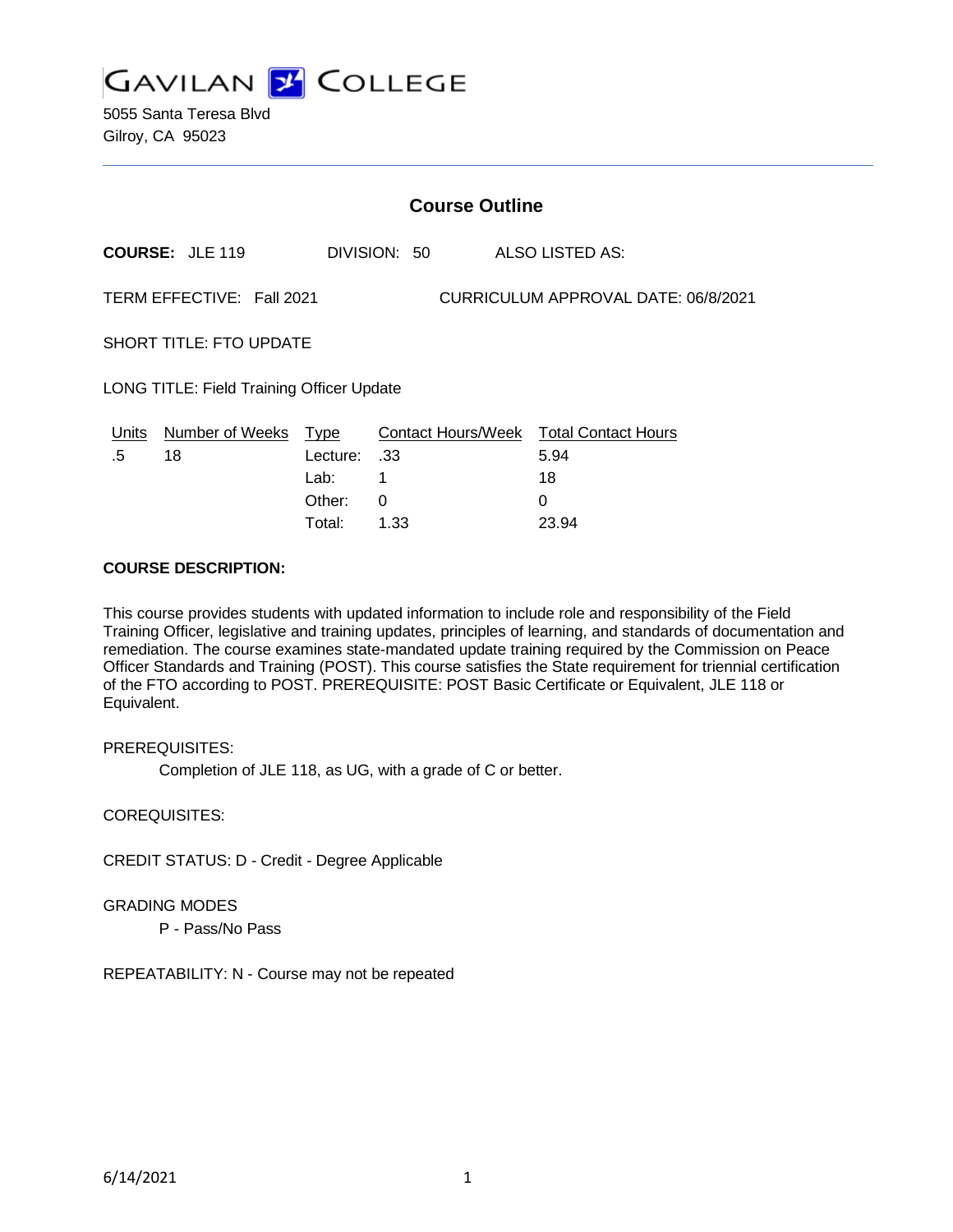

5055 Santa Teresa Blvd Gilroy, CA 95023

|                                                                  | <b>Course Outline</b>        |                                 |              |  |                                                      |
|------------------------------------------------------------------|------------------------------|---------------------------------|--------------|--|------------------------------------------------------|
|                                                                  | <b>COURSE: JLE 119</b>       |                                 | DIVISION: 50 |  | ALSO LISTED AS:                                      |
| TERM EFFECTIVE: Fall 2021<br>CURRICULUM APPROVAL DATE: 06/8/2021 |                              |                                 |              |  |                                                      |
| <b>SHORT TITLE: FTO UPDATE</b>                                   |                              |                                 |              |  |                                                      |
| LONG TITLE: Field Training Officer Update                        |                              |                                 |              |  |                                                      |
| Units<br>.5                                                      | <b>Number of Weeks</b><br>18 | <u>Type</u><br>Lecture:<br>Lab: | .33          |  | Contact Hours/Week Total Contact Hours<br>5.94<br>18 |

Other: 0 0 Total: 1.33 23.94

#### **COURSE DESCRIPTION:**

This course provides students with updated information to include role and responsibility of the Field Training Officer, legislative and training updates, principles of learning, and standards of documentation and remediation. The course examines state-mandated update training required by the Commission on Peace Officer Standards and Training (POST). This course satisfies the State requirement for triennial certification of the FTO according to POST. PREREQUISITE: POST Basic Certificate or Equivalent, JLE 118 or Equivalent.

PREREQUISITES:

Completion of JLE 118, as UG, with a grade of C or better.

COREQUISITES:

CREDIT STATUS: D - Credit - Degree Applicable

GRADING MODES

P - Pass/No Pass

REPEATABILITY: N - Course may not be repeated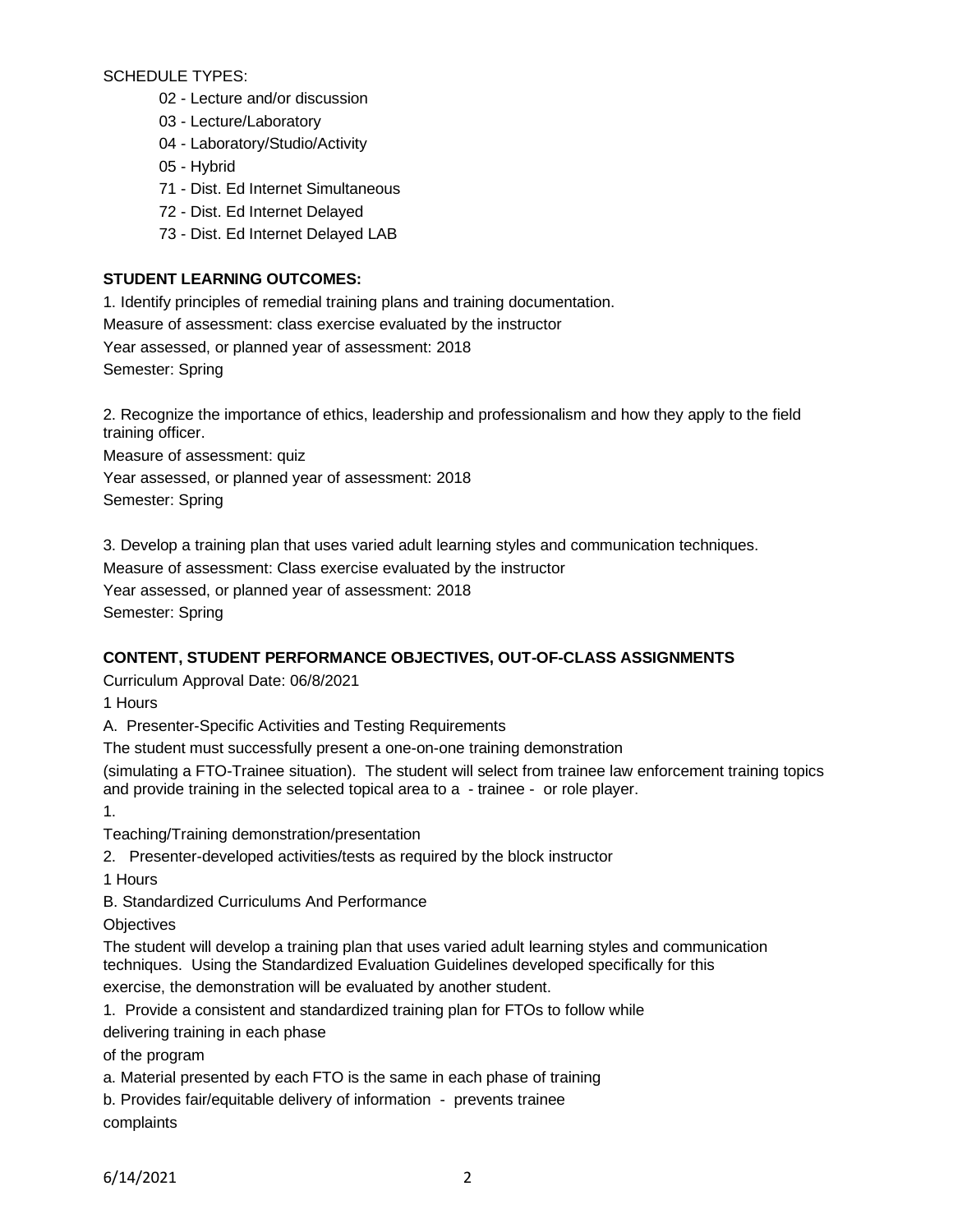SCHEDULE TYPES:

- 02 Lecture and/or discussion
- 03 Lecture/Laboratory
- 04 Laboratory/Studio/Activity
- 05 Hybrid
- 71 Dist. Ed Internet Simultaneous
- 72 Dist. Ed Internet Delayed
- 73 Dist. Ed Internet Delayed LAB

## **STUDENT LEARNING OUTCOMES:**

1. Identify principles of remedial training plans and training documentation.

Measure of assessment: class exercise evaluated by the instructor

Year assessed, or planned year of assessment: 2018

Semester: Spring

2. Recognize the importance of ethics, leadership and professionalism and how they apply to the field training officer.

Measure of assessment: quiz

Year assessed, or planned year of assessment: 2018

Semester: Spring

3. Develop a training plan that uses varied adult learning styles and communication techniques.

Measure of assessment: Class exercise evaluated by the instructor

Year assessed, or planned year of assessment: 2018

Semester: Spring

## **CONTENT, STUDENT PERFORMANCE OBJECTIVES, OUT-OF-CLASS ASSIGNMENTS**

Curriculum Approval Date: 06/8/2021

1 Hours

A. Presenter-Specific Activities and Testing Requirements

The student must successfully present a one-on-one training demonstration

(simulating a FTO-Trainee situation). The student will select from trainee law enforcement training topics and provide training in the selected topical area to a - trainee - or role player.

1.

Teaching/Training demonstration/presentation

2. Presenter-developed activities/tests as required by the block instructor

1 Hours

B. Standardized Curriculums And Performance

**Objectives** 

The student will develop a training plan that uses varied adult learning styles and communication techniques. Using the Standardized Evaluation Guidelines developed specifically for this exercise, the demonstration will be evaluated by another student.

1. Provide a consistent and standardized training plan for FTOs to follow while

delivering training in each phase

of the program

a. Material presented by each FTO is the same in each phase of training

b. Provides fair/equitable delivery of information - prevents trainee

complaints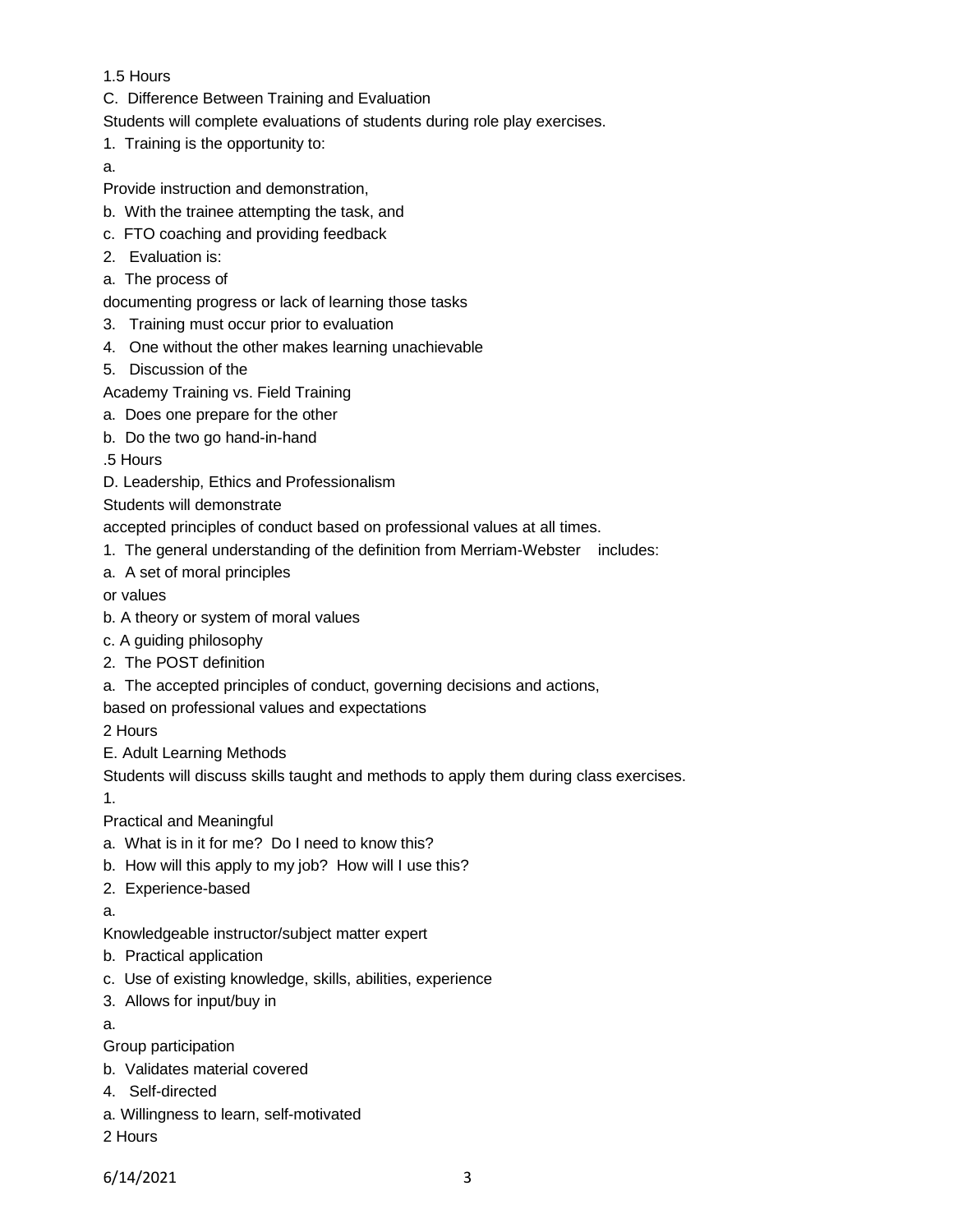1.5 Hours

- C. Difference Between Training and Evaluation
- Students will complete evaluations of students during role play exercises.
- 1. Training is the opportunity to:

a.

- Provide instruction and demonstration,
- b. With the trainee attempting the task, and
- c. FTO coaching and providing feedback
- 2. Evaluation is:
- a. The process of

documenting progress or lack of learning those tasks

- 3. Training must occur prior to evaluation
- 4. One without the other makes learning unachievable
- 5. Discussion of the
- Academy Training vs. Field Training
- a. Does one prepare for the other
- b. Do the two go hand-in-hand
- .5 Hours
- D. Leadership, Ethics and Professionalism
- Students will demonstrate

accepted principles of conduct based on professional values at all times.

- 1. The general understanding of the definition from Merriam-Webster includes:
- a. A set of moral principles
- or values
- b. A theory or system of moral values
- c. A guiding philosophy
- 2. The POST definition
- a. The accepted principles of conduct, governing decisions and actions,

based on professional values and expectations

2 Hours

E. Adult Learning Methods

Students will discuss skills taught and methods to apply them during class exercises.

1.

Practical and Meaningful

- a. What is in it for me? Do I need to know this?
- b. How will this apply to my job? How will I use this?
- 2. Experience-based
- a.

Knowledgeable instructor/subject matter expert

- b. Practical application
- c. Use of existing knowledge, skills, abilities, experience
- 3. Allows for input/buy in

a.

- Group participation
- b. Validates material covered
- 4. Self-directed
- a. Willingness to learn, self-motivated
- 2 Hours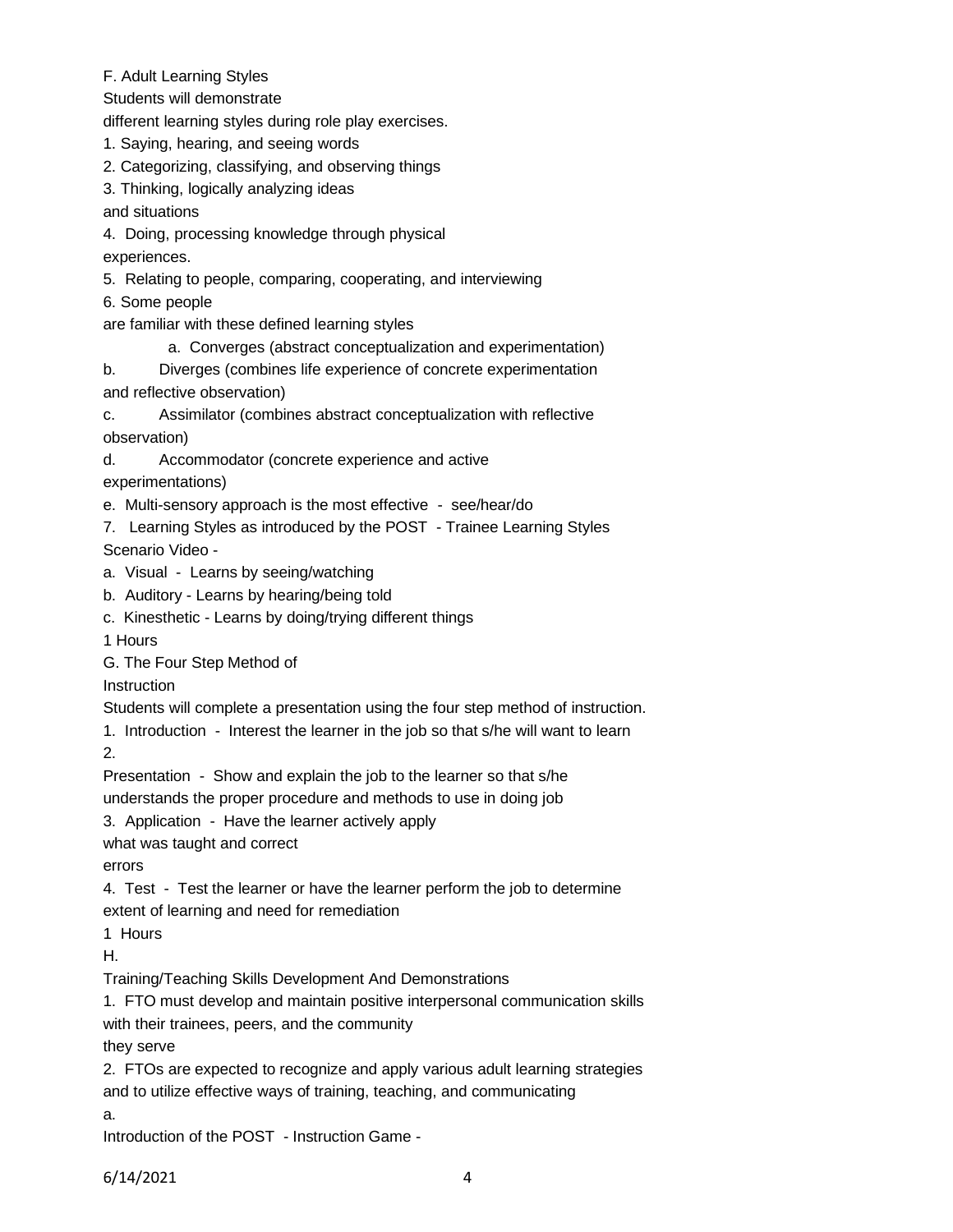- F. Adult Learning Styles
- Students will demonstrate

different learning styles during role play exercises.

- 1. Saying, hearing, and seeing words
- 2. Categorizing, classifying, and observing things
- 3. Thinking, logically analyzing ideas

and situations

4. Doing, processing knowledge through physical

experiences.

5. Relating to people, comparing, cooperating, and interviewing

6. Some people

are familiar with these defined learning styles

- a. Converges (abstract conceptualization and experimentation)
- b. Diverges (combines life experience of concrete experimentation and reflective observation)
- c. Assimilator (combines abstract conceptualization with reflective observation)
- d. Accommodator (concrete experience and active
- experimentations)
- e. Multi-sensory approach is the most effective see/hear/do
- 7. Learning Styles as introduced by the POST Trainee Learning Styles Scenario Video -
- a. Visual Learns by seeing/watching
- b. Auditory Learns by hearing/being told
- c. Kinesthetic Learns by doing/trying different things
- 1 Hours
- G. The Four Step Method of

**Instruction** 

Students will complete a presentation using the four step method of instruction.

1. Introduction - Interest the learner in the job so that s/he will want to learn

2.

Presentation - Show and explain the job to the learner so that s/he

understands the proper procedure and methods to use in doing job

3. Application - Have the learner actively apply

what was taught and correct

errors

4. Test - Test the learner or have the learner perform the job to determine extent of learning and need for remediation

1 Hours

H.

Training/Teaching Skills Development And Demonstrations

1. FTO must develop and maintain positive interpersonal communication skills with their trainees, peers, and the community

they serve

2. FTOs are expected to recognize and apply various adult learning strategies and to utilize effective ways of training, teaching, and communicating

a.

Introduction of the POST - Instruction Game -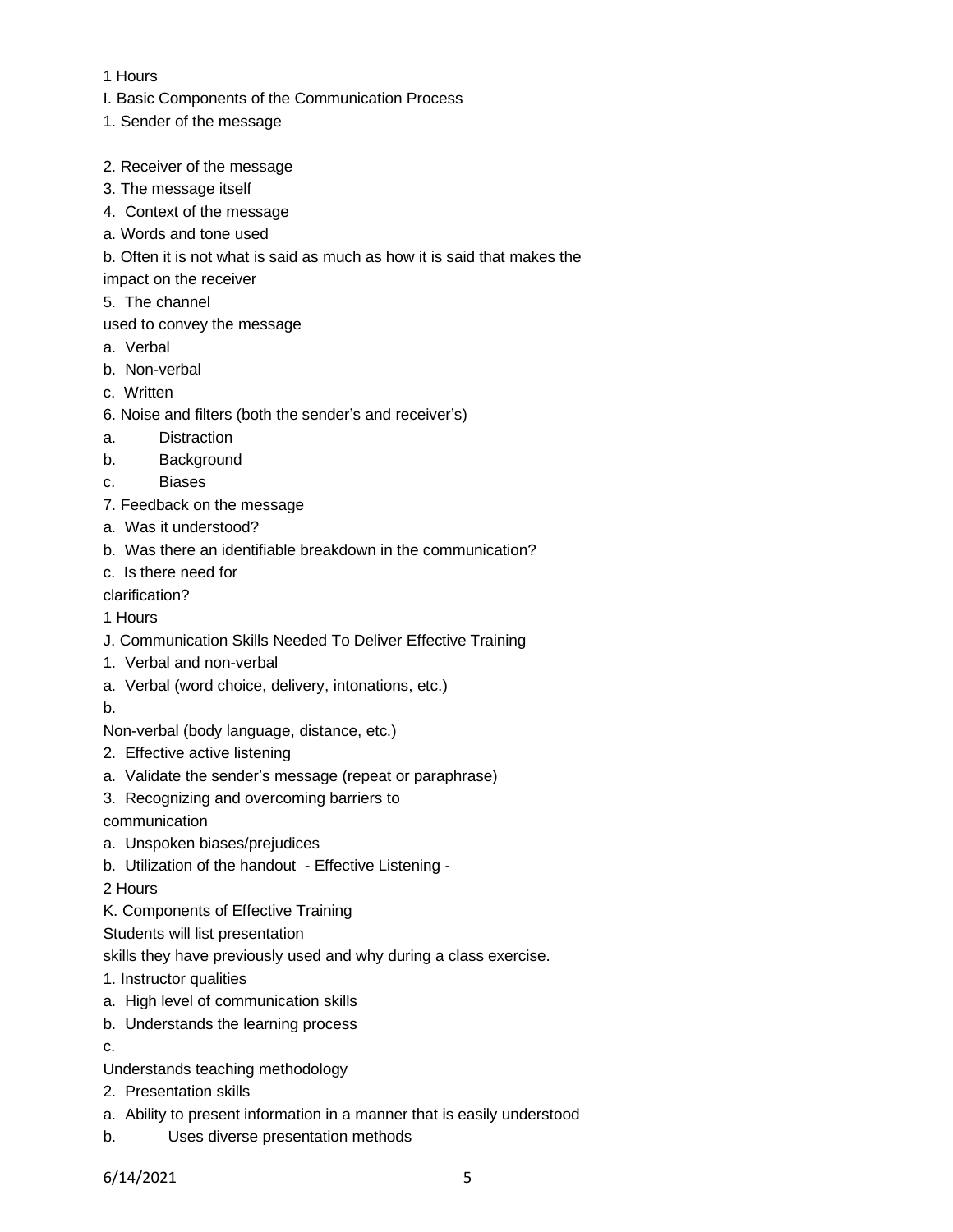### 1 Hours

- I. Basic Components of the Communication Process
- 1. Sender of the message
- 2. Receiver of the message
- 3. The message itself
- 4. Context of the message
- a. Words and tone used
- b. Often it is not what is said as much as how it is said that makes the
- impact on the receiver
- 5. The channel
- used to convey the message
- a. Verbal
- b. Non-verbal
- c. Written
- 6. Noise and filters (both the sender's and receiver's)
- a. Distraction
- b. Background
- c. Biases
- 7. Feedback on the message
- a. Was it understood?
- b. Was there an identifiable breakdown in the communication?
- c. Is there need for

clarification?

- 1 Hours
- J. Communication Skills Needed To Deliver Effective Training
- 1. Verbal and non-verbal
- a. Verbal (word choice, delivery, intonations, etc.)
- b.

Non-verbal (body language, distance, etc.)

- 2. Effective active listening
- a. Validate the sender's message (repeat or paraphrase)
- 3. Recognizing and overcoming barriers to

communication

- a. Unspoken biases/prejudices
- b. Utilization of the handout Effective Listening -

2 Hours

K. Components of Effective Training

Students will list presentation

skills they have previously used and why during a class exercise.

1. Instructor qualities

- a. High level of communication skills
- b. Understands the learning process
- c.
- Understands teaching methodology
- 2. Presentation skills
- a. Ability to present information in a manner that is easily understood
- b. Uses diverse presentation methods

6/14/2021 5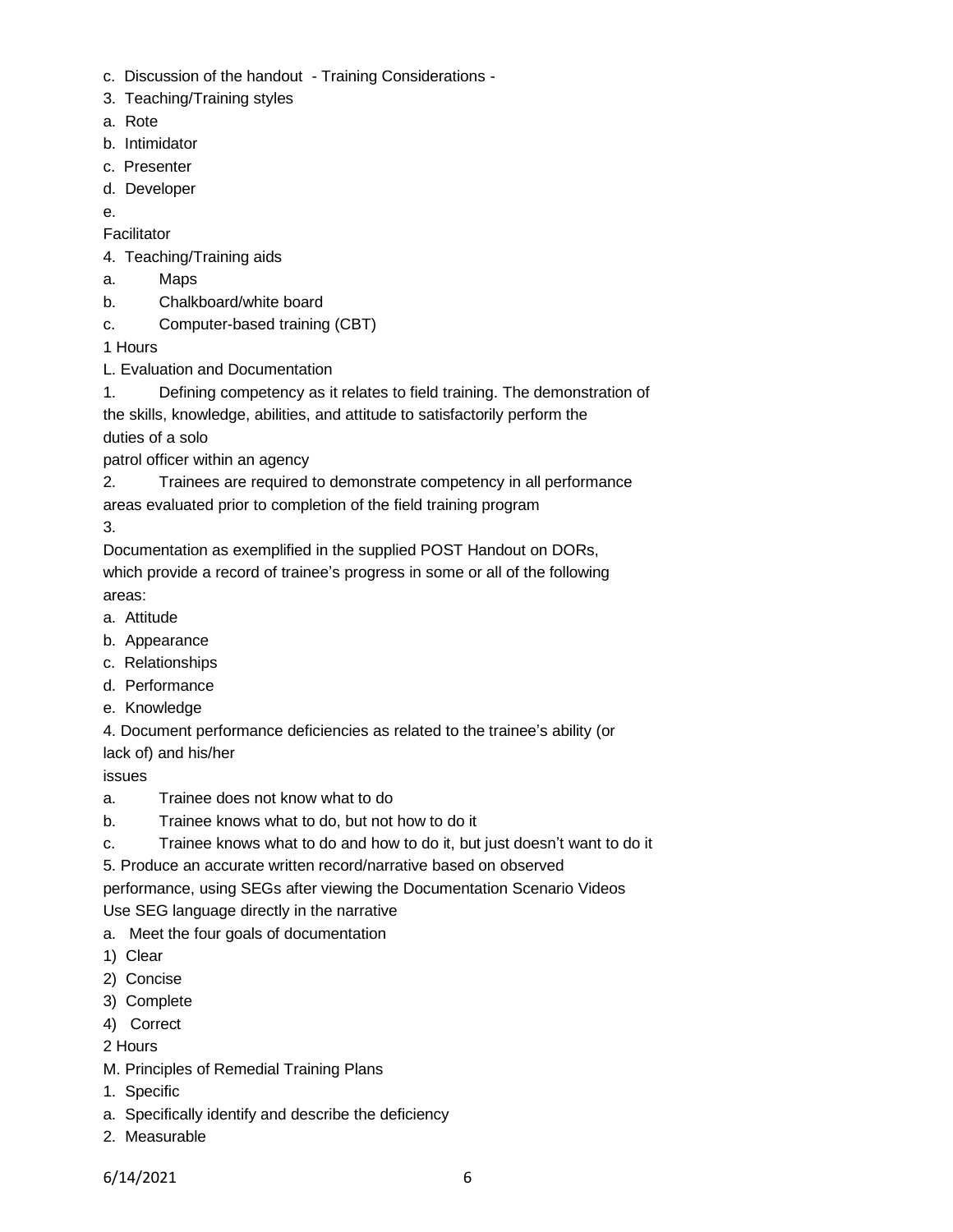- c. Discussion of the handout Training Considerations -
- 3. Teaching/Training styles
- a. Rote
- b. Intimidator
- c. Presenter
- d. Developer
- e.

**Facilitator** 

- 4. Teaching/Training aids
- a. Maps
- b. Chalkboard/white board
- c. Computer-based training (CBT)

1 Hours

- L. Evaluation and Documentation
- 1. Defining competency as it relates to field training. The demonstration of the skills, knowledge, abilities, and attitude to satisfactorily perform the

duties of a solo

patrol officer within an agency

2. Trainees are required to demonstrate competency in all performance areas evaluated prior to completion of the field training program

3.

Documentation as exemplified in the supplied POST Handout on DORs, which provide a record of trainee's progress in some or all of the following areas:

- a. Attitude
- b. Appearance
- c. Relationships
- d. Performance
- e. Knowledge
- 4. Document performance deficiencies as related to the trainee's ability (or

lack of) and his/her

issues

- a. Trainee does not know what to do
- b. Trainee knows what to do, but not how to do it
- c. Trainee knows what to do and how to do it, but just doesn't want to do it

5. Produce an accurate written record/narrative based on observed

performance, using SEGs after viewing the Documentation Scenario Videos

Use SEG language directly in the narrative

- a. Meet the four goals of documentation
- 1) Clear
- 2) Concise
- 3) Complete
- 4) Correct
- 2 Hours
- M. Principles of Remedial Training Plans
- 1. Specific
- a. Specifically identify and describe the deficiency
- 2. Measurable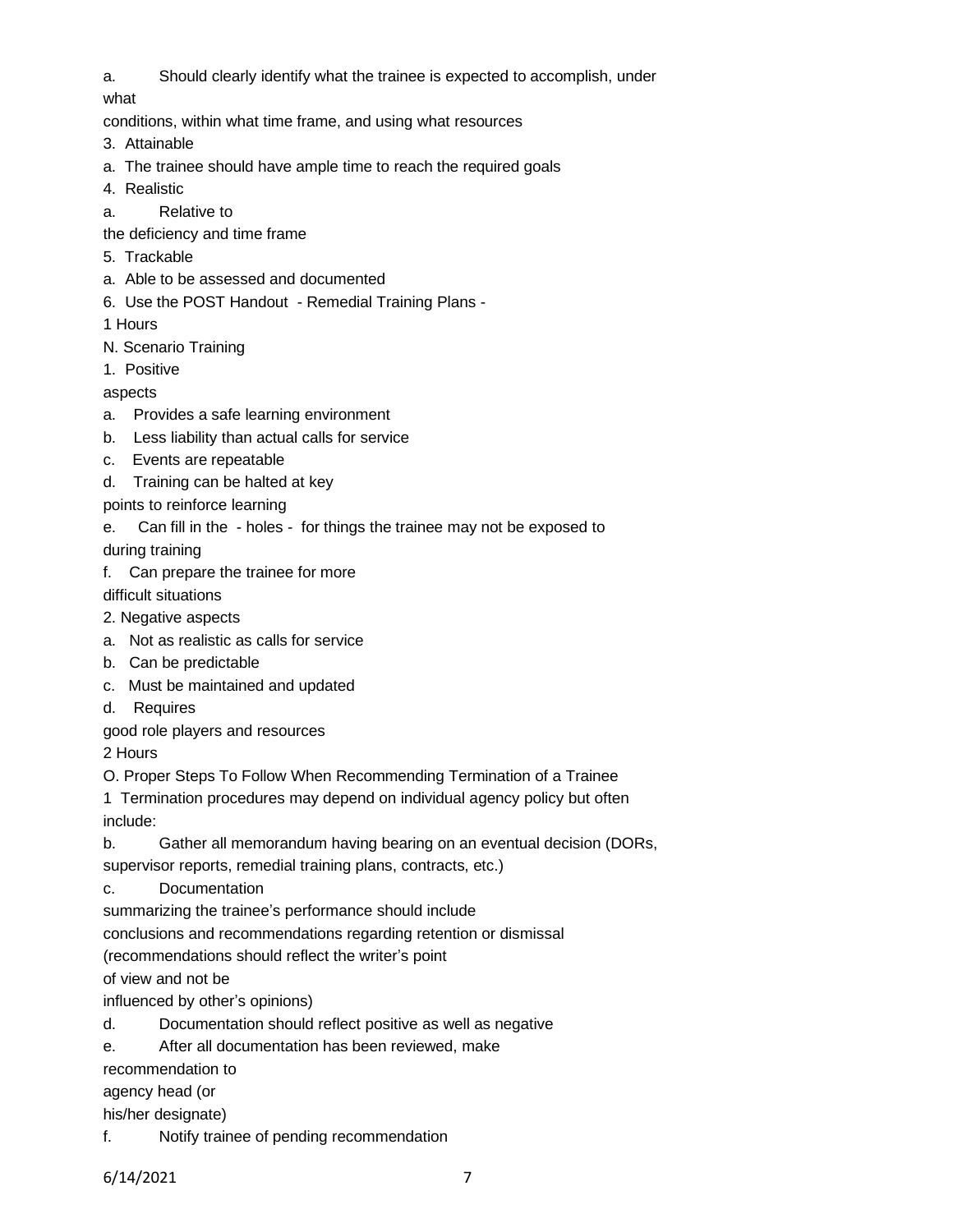a. Should clearly identify what the trainee is expected to accomplish, under

what

conditions, within what time frame, and using what resources

- 3. Attainable
- a. The trainee should have ample time to reach the required goals
- 4. Realistic
- a. Relative to

the deficiency and time frame

- 5. Trackable
- a. Able to be assessed and documented
- 6. Use the POST Handout Remedial Training Plans -

1 Hours

- N. Scenario Training
- 1. Positive

aspects

- a. Provides a safe learning environment
- b. Less liability than actual calls for service
- c. Events are repeatable
- d. Training can be halted at key
- points to reinforce learning
- e. Can fill in the holes for things the trainee may not be exposed to during training
- f. Can prepare the trainee for more

difficult situations

- 2. Negative aspects
- a. Not as realistic as calls for service
- b. Can be predictable
- c. Must be maintained and updated
- d. Requires

good role players and resources

2 Hours

O. Proper Steps To Follow When Recommending Termination of a Trainee

1 Termination procedures may depend on individual agency policy but often

include:

b. Gather all memorandum having bearing on an eventual decision (DORs,

supervisor reports, remedial training plans, contracts, etc.)

c. Documentation

summarizing the trainee's performance should include

conclusions and recommendations regarding retention or dismissal

(recommendations should reflect the writer's point

of view and not be

influenced by other's opinions)

- d. Documentation should reflect positive as well as negative
- e. After all documentation has been reviewed, make

recommendation to

agency head (or

his/her designate)

f. Notify trainee of pending recommendation

6/14/2021 7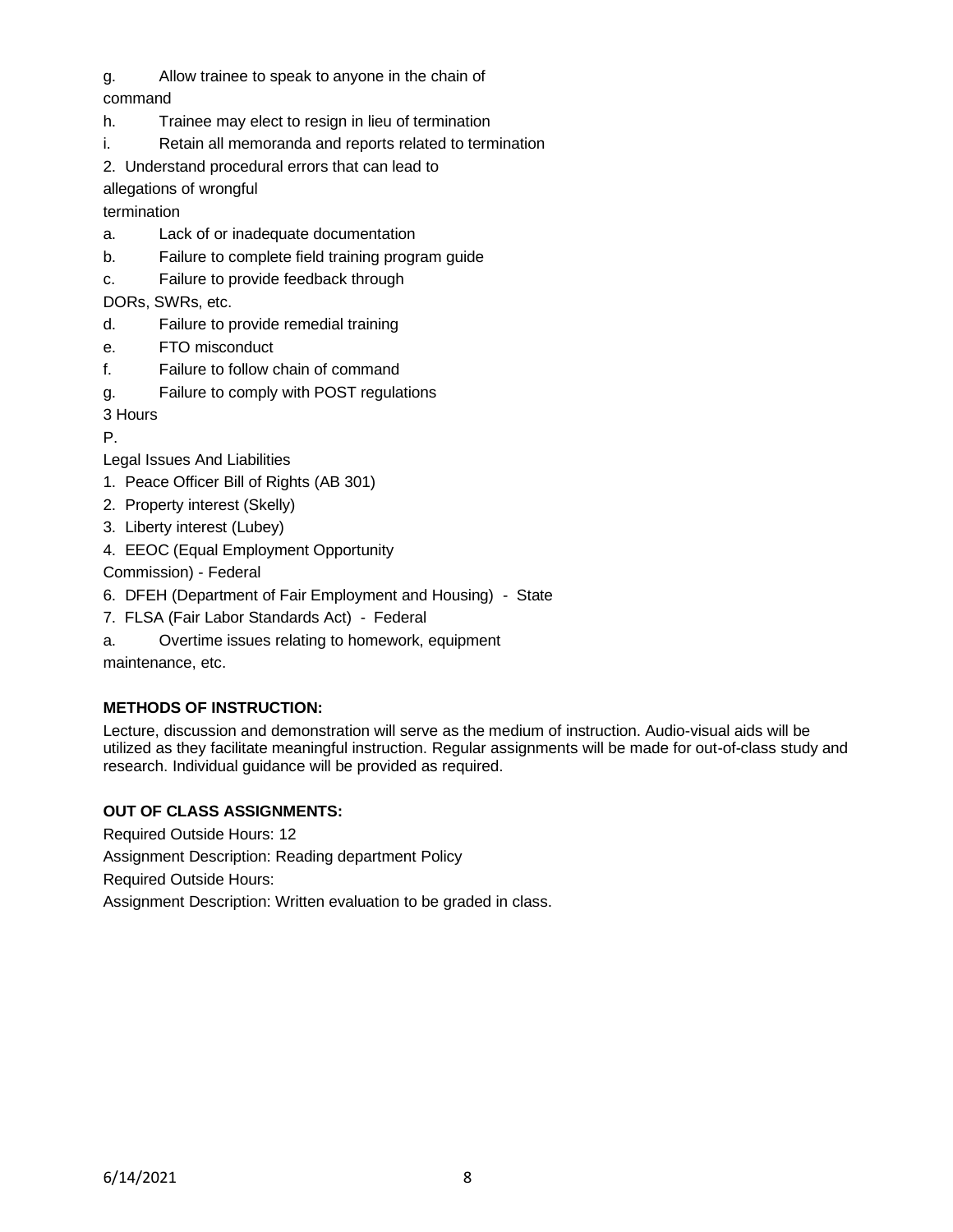g. Allow trainee to speak to anyone in the chain of

# command

- h. Trainee may elect to resign in lieu of termination
- i. Retain all memoranda and reports related to termination
- 2. Understand procedural errors that can lead to

allegations of wrongful

termination

- a. Lack of or inadequate documentation
- b. Failure to complete field training program guide
- c. Failure to provide feedback through

DORs, SWRs, etc.

- d. Failure to provide remedial training
- e. FTO misconduct
- f. Failure to follow chain of command
- g. Failure to comply with POST regulations

3 Hours

P.

- Legal Issues And Liabilities
- 1. Peace Officer Bill of Rights (AB 301)
- 2. Property interest (Skelly)
- 3. Liberty interest (Lubey)
- 4. EEOC (Equal Employment Opportunity

Commission) - Federal

- 6. DFEH (Department of Fair Employment and Housing) State
- 7. FLSA (Fair Labor Standards Act) Federal
- a. Overtime issues relating to homework, equipment

maintenance, etc.

## **METHODS OF INSTRUCTION:**

Lecture, discussion and demonstration will serve as the medium of instruction. Audio-visual aids will be utilized as they facilitate meaningful instruction. Regular assignments will be made for out-of-class study and research. Individual guidance will be provided as required.

## **OUT OF CLASS ASSIGNMENTS:**

Required Outside Hours: 12

Assignment Description: Reading department Policy

Required Outside Hours:

Assignment Description: Written evaluation to be graded in class.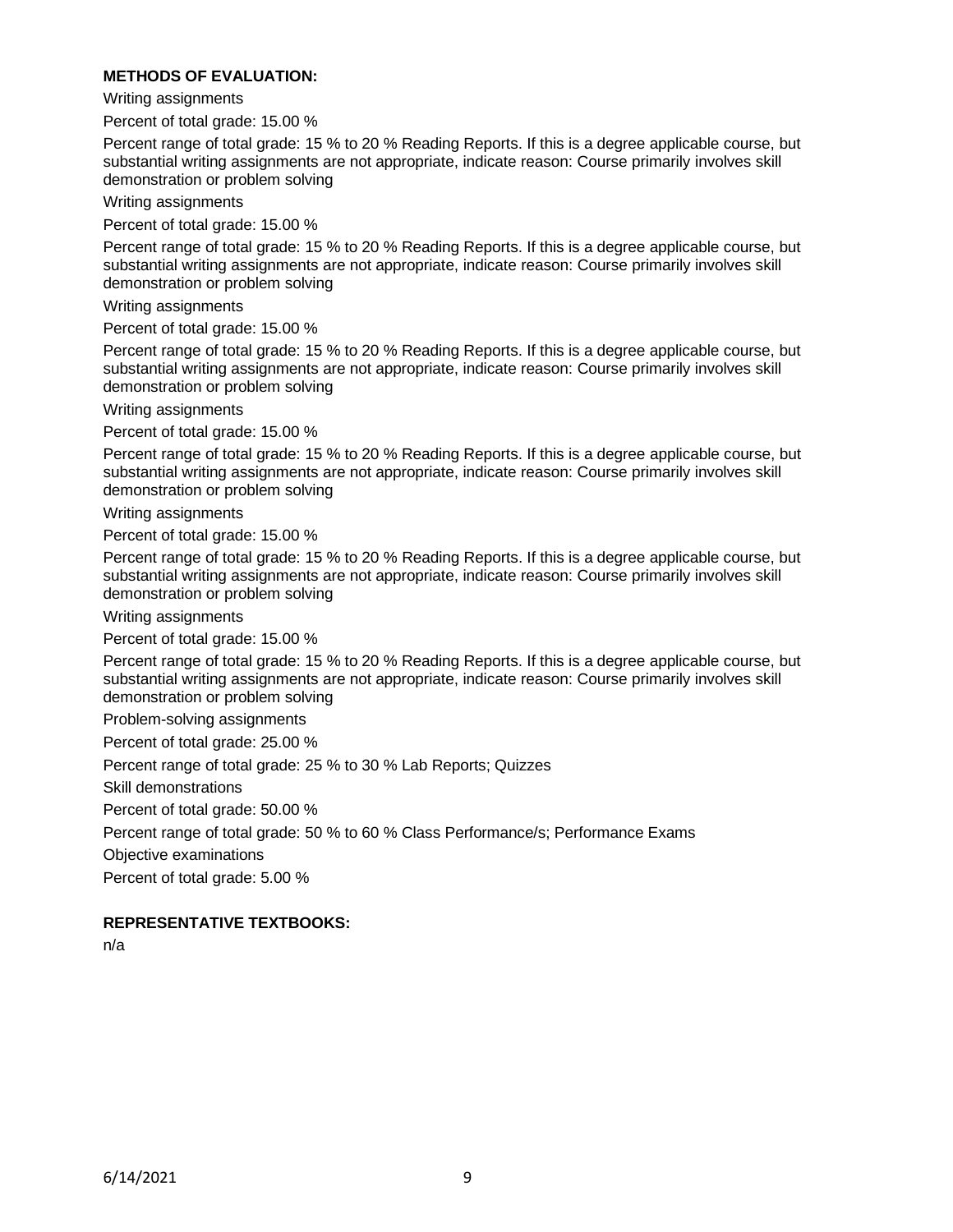#### **METHODS OF EVALUATION:**

Writing assignments

Percent of total grade: 15.00 %

Percent range of total grade: 15 % to 20 % Reading Reports. If this is a degree applicable course, but substantial writing assignments are not appropriate, indicate reason: Course primarily involves skill demonstration or problem solving

Writing assignments

Percent of total grade: 15.00 %

Percent range of total grade: 15 % to 20 % Reading Reports. If this is a degree applicable course, but substantial writing assignments are not appropriate, indicate reason: Course primarily involves skill demonstration or problem solving

Writing assignments

Percent of total grade: 15.00 %

Percent range of total grade: 15 % to 20 % Reading Reports. If this is a degree applicable course, but substantial writing assignments are not appropriate, indicate reason: Course primarily involves skill demonstration or problem solving

Writing assignments

Percent of total grade: 15.00 %

Percent range of total grade: 15 % to 20 % Reading Reports. If this is a degree applicable course, but substantial writing assignments are not appropriate, indicate reason: Course primarily involves skill demonstration or problem solving

Writing assignments

Percent of total grade: 15.00 %

Percent range of total grade: 15 % to 20 % Reading Reports. If this is a degree applicable course, but substantial writing assignments are not appropriate, indicate reason: Course primarily involves skill demonstration or problem solving

Writing assignments

Percent of total grade: 15.00 %

Percent range of total grade: 15 % to 20 % Reading Reports. If this is a degree applicable course, but substantial writing assignments are not appropriate, indicate reason: Course primarily involves skill demonstration or problem solving

Problem-solving assignments

Percent of total grade: 25.00 %

Percent range of total grade: 25 % to 30 % Lab Reports; Quizzes

Skill demonstrations

Percent of total grade: 50.00 %

Percent range of total grade: 50 % to 60 % Class Performance/s; Performance Exams

Objective examinations

Percent of total grade: 5.00 %

#### **REPRESENTATIVE TEXTBOOKS:**

n/a